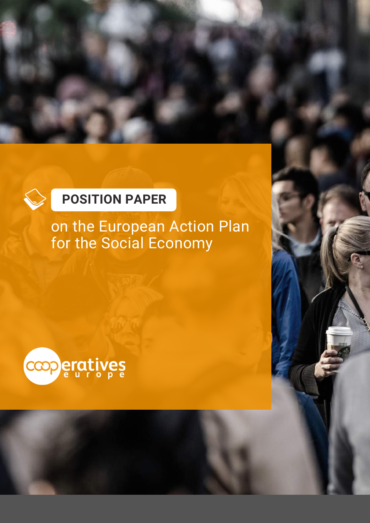### **POSITION PAPER**

on the European Action Plan for the Social Economy

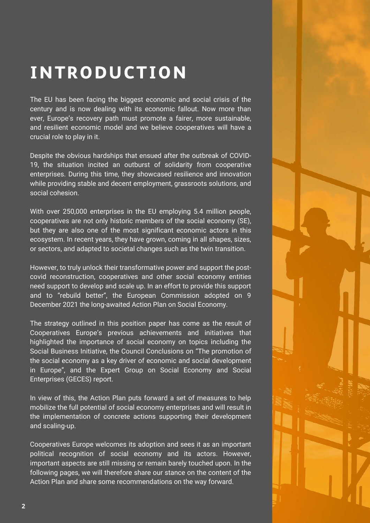### **INTRODUCTION**

The EU has been facing the biggest economic and social crisis of the century and is now dealing with its economic fallout. Now more than ever, Europe's recovery path must promote a fairer, more sustainable, and resilient economic model and we believe cooperatives will have a crucial role to play in it.

Despite the obvious hardships that ensued after the outbreak of COVID-19, the situation incited an outburst of solidarity from cooperative enterprises. During this time, they showcased resilience and innovation while providing stable and decent employment, grassroots solutions, and social cohesion.

With over 250,000 enterprises in the EU employing 5.4 million people, cooperatives are not only historic members of the social economy (SE), but they are also one of the most significant economic actors in this ecosystem. In recent years, they have grown, coming in all shapes, sizes, or sectors, and adapted to societal changes such as the twin transition.

However, to truly unlock their transformative power and support the postcovid reconstruction, cooperatives and other social economy entities need support to develop and scale up. In an effort to provide this support and to "rebuild better", the European Commission adopted on 9 December 2021 the long-awaited Action Plan on Social Economy.

The strategy outlined in this position paper has come as the result of Cooperatives Europe's previous achievements and initiatives that highlighted the importance of social economy on topics including the Social Business Initiative, the Council Conclusions on "The promotion of the social economy as a key driver of economic and social development in Europe", and the Expert Group on Social Economy and Social Enterprises (GECES) report.

In view of this, the Action Plan puts forward a set of measures to help mobilize the full potential of social economy enterprises and will result in the implementation of concrete actions supporting their development and scaling-up.

Cooperatives Europe welcomes its adoption and sees it as an important political recognition of social economy and its actors. However, important aspects are still missing or remain barely touched upon. In the following pages, we will therefore share our stance on the content of the Action Plan and share some recommendations on the way forward.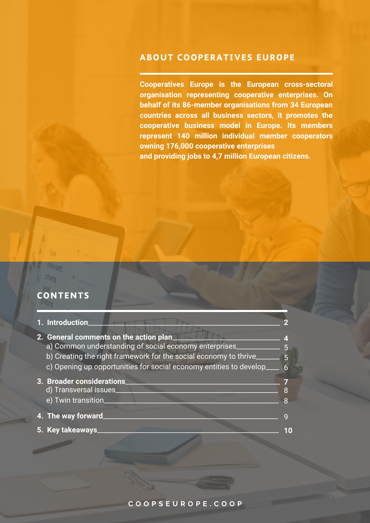#### **ABOUT COOPERATIVES EUROPE**

**Cooperatives Europe is the European cross-sectoral organisation representing cooperative enterprises. On behalf of its 86-member organisations from 34 European countries across all business sectors, it promotes the cooperative business model in Europe. Its members represent 140 million individual member cooperators owning 176,000 cooperative enterprises and providing jobs to 4,7 million European citizens.**

### **CONTENTS**

levant

| 1. Introduction_                                                                                                                                                                                                                                      |   |
|-------------------------------------------------------------------------------------------------------------------------------------------------------------------------------------------------------------------------------------------------------|---|
| 2. General comments on the action plan_<br>a) Common understanding of social economy enterprises____<br>b) Creating the right framework for the social economy to thrive______<br>c) Opening up opportunities for social economy entities to develop_ | 5 |
| 3. Broader considerations<br>d) Transversal issues<br>e) Twin transition_                                                                                                                                                                             |   |
| 4. The way forward                                                                                                                                                                                                                                    |   |
| 5. Key takeaways                                                                                                                                                                                                                                      |   |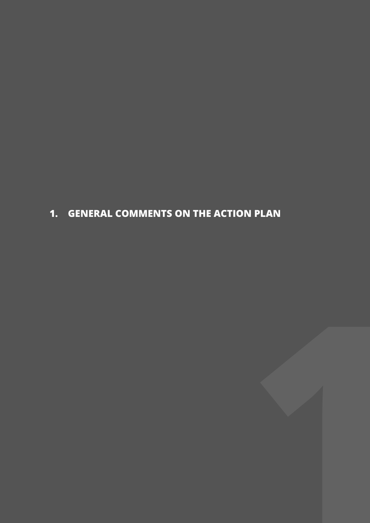### **1. GENERAL COMMENTS ON THE ACTION PLAN**

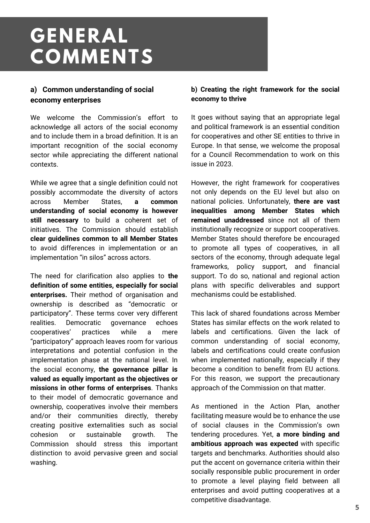## **GENERAL COMMENTS**

#### **a) Common understanding of social economy enterprises**

We welcome the Commission's effort to acknowledge all actors of the social economy and to include them in a broad definition. It is an important recognition of the social economy sector while appreciating the different national contexts.

While we agree that a single definition could not possibly accommodate the diversity of actors across Member States, **a common understanding of social economy is however still necessary** to build a coherent set of initiatives. The Commission should establish **clear guidelines common to all Member States** to avoid differences in implementation or an implementation "in silos" across actors.

The need for clarification also applies to **the definition of some entities, especially for social enterprises.** Their method of organisation and ownership is described as "democratic or participatory". These terms cover very different realities. Democratic governance echoes cooperatives' practices while a mere "participatory" approach leaves room for various interpretations and potential confusion in the implementation phase at the national level. In the social economy, **the governance pillar is valued as equally important as the objectives or missions in other forms of enterprises**. Thanks to their model of democratic governance and ownership, cooperatives involve their members and/or their communities directly, thereby creating positive externalities such as social cohesion or sustainable growth. The Commission should stress this important distinction to avoid pervasive green and social washing.

#### **b) Creating the right framework for the social economy to thrive**

It goes without saying that an appropriate legal and political framework is an essential condition for cooperatives and other SE entities to thrive in Europe. In that sense, we welcome the proposal for a Council Recommendation to work on this issue in 2023.

However, the right framework for cooperatives not only depends on the EU level but also on national policies. Unfortunately, **there are vast inequalities among Member States which remained unaddressed** since not all of them institutionally recognize or support cooperatives. Member States should therefore be encouraged to promote all types of cooperatives, in all sectors of the economy, through adequate legal frameworks, policy support, and financial support. To do so, national and regional action plans with specific deliverables and support mechanisms could be established.

This lack of shared foundations across Member States has similar effects on the work related to labels and certifications. Given the lack of common understanding of social economy, labels and certifications could create confusion when implemented nationally, especially if they become a condition to benefit from EU actions. For this reason, we support the precautionary approach of the Commission on that matter.

As mentioned in the Action Plan, another facilitating measure would be to enhance the use of social clauses in the Commission's own tendering procedures. Yet, **a more binding and ambitious approach was expected** with specific targets and benchmarks. Authorities should also put the accent on governance criteria within their socially responsible public procurement in order to promote a level playing field between all enterprises and avoid putting cooperatives at a competitive disadvantage.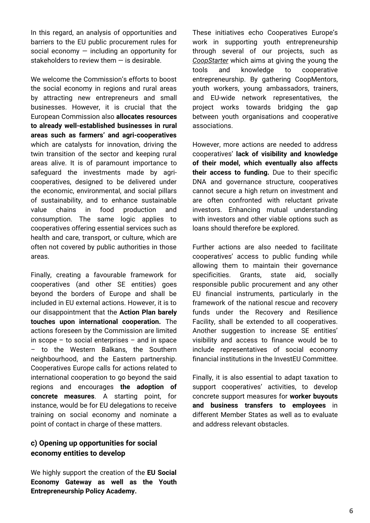In this regard, an analysis of opportunities and barriers to the EU public procurement rules for social economy  $-$  including an opportunity for stakeholders to review them  $-$  is desirable.

We welcome the Commission's efforts to boost the social economy in regions and rural areas by attracting new entrepreneurs and small businesses. However, it is crucial that the European Commission also **allocates resources to already well-established businesses in rural areas such as farmers' and agri-cooperatives** which are catalysts for innovation, driving the twin transition of the sector and keeping rural areas alive. It is of paramount importance to safeguard the investments made by agricooperatives, designed to be delivered under the economic, environmental, and social pillars of sustainability, and to enhance sustainable value chains in food production and consumption. The same logic applies to cooperatives offering essential services such as health and care, transport, or culture, which are often not covered by public authorities in those areas.

Finally, creating a favourable framework for cooperatives (and other SE entities) goes beyond the borders of Europe and shall be included in EU external actions. However, it is to our disappointment that the **Action Plan barely touches upon international cooperation.** The actions foreseen by the Commission are limited in scope  $-$  to social enterprises  $-$  and in space – to the Western Balkans, the Southern neighbourhood, and the Eastern partnership. Cooperatives Europe calls for actions related to international cooperation to go beyond the said regions and encourages **the adoption of concrete measures**. A starting point, for instance, would be for EU delegations to receive training on social economy and nominate a point of contact in charge of these matters.

#### **c) Opening up opportunities for social economy entities to develop**

We highly support the creation of the **EU Social Economy Gateway as well as the Youth Entrepreneurship Policy Academy.**

These initiatives echo Cooperatives Europe's work in supporting youth entrepreneurship through several of our projects, such as *[CoopStarter](https://coopseurope.coop/resources/projects/coopstarter-20)* which aims at giving the young the tools and knowledge to cooperative entrepreneurship. By gathering CoopMentors, youth workers, young ambassadors, trainers, and EU-wide network representatives, the project works towards bridging the gap between youth organisations and cooperative associations.

However, more actions are needed to address cooperatives' **lack of visibility and knowledge of their model, which eventually also affects their access to funding.** Due to their specific DNA and governance structure, cooperatives cannot secure a high return on investment and are often confronted with reluctant private investors. Enhancing mutual understanding with investors and other viable options such as loans should therefore be explored.

Further actions are also needed to facilitate cooperatives' access to public funding while allowing them to maintain their governance specificities. Grants, state aid, socially responsible public procurement and any other EU financial instruments, particularly in the framework of the national rescue and recovery funds under the Recovery and Resilience Facility, shall be extended to all cooperatives. Another suggestion to increase SE entities' visibility and access to finance would be to include representatives of social economy financial institutions in the InvestEU Committee.

Finally, it is also essential to adapt taxation to support cooperatives' activities, to develop concrete support measures for **worker buyouts and business transfers to employees** in different Member States as well as to evaluate and address relevant obstacles.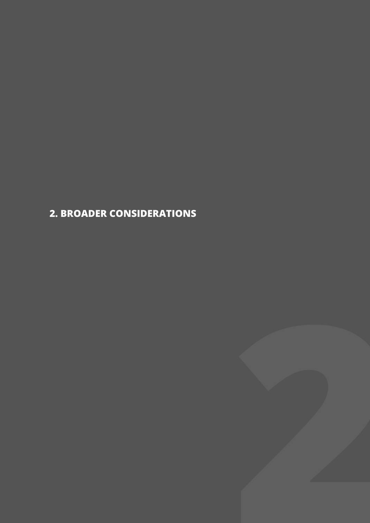**2. BROADER CONSIDERATIONS**

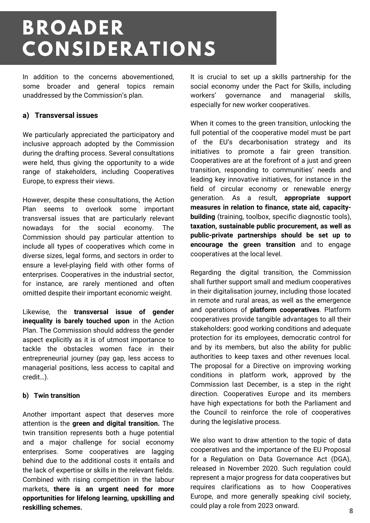## **BROADER CONSIDERATIONS**

In addition to the concerns abovementioned, some broader and general topics remain unaddressed by the Commission's plan.

#### **a) Transversal issues**

We particularly appreciated the participatory and inclusive approach adopted by the Commission during the drafting process. Several consultations were held, thus giving the opportunity to a wide range of stakeholders, including Cooperatives Europe, to express their views.

However, despite these consultations, the Action Plan seems to overlook some important transversal issues that are particularly relevant nowadays for the social economy. The Commission should pay particular attention to include all types of cooperatives which come in diverse sizes, legal forms, and sectors in order to ensure a level-playing field with other forms of enterprises. Cooperatives in the industrial sector, for instance, are rarely mentioned and often omitted despite their important economic weight.

Likewise, the **transversal issue of gender inequality is barely touched upon** in the Action Plan. The Commission should address the gender aspect explicitly as it is of utmost importance to tackle the obstacles women face in their entrepreneurial journey (pay gap, less access to managerial positions, less access to capital and credit…).

#### **b) Twin transition**

Another important aspect that deserves more attention is the **green and digital transition.** The twin transition represents both a huge potential and a major challenge for social economy enterprises. Some cooperatives are lagging behind due to the additional costs it entails and the lack of expertise or skills in the relevant fields. Combined with rising competition in the labour markets, **there is an urgent need for more opportunities for lifelong learning, upskilling and reskilling schemes.**

It is crucial to set up a skills partnership for the social economy under the Pact for Skills, including workers' governance and managerial skills, especially for new worker cooperatives.

When it comes to the green transition, unlocking the full potential of the cooperative model must be part of the EU's decarbonisation strategy and its initiatives to promote a fair green transition. Cooperatives are at the forefront of a just and green transition, responding to communities' needs and leading key innovative initiatives, for instance in the field of circular economy or renewable energy generation. As a result, **appropriate support measures in relation to finance, state aid, capacitybuilding** (training, toolbox, specific diagnostic tools), **taxation, sustainable public procurement, as well as public-private partnerships should be set up to encourage the green transition** and to engage cooperatives at the local level.

Regarding the digital transition, the Commission shall further support small and medium cooperatives in their digitalisation journey, including those located in remote and rural areas, as well as the emergence and operations of **platform cooperatives**. Platform cooperatives provide tangible advantages to all their stakeholders: good working conditions and adequate protection for its employees, democratic control for and by its members, but also the ability for public authorities to keep taxes and other revenues local. The proposal for a Directive on improving working conditions in platform work, approved by the Commission last December, is a step in the right direction. Cooperatives Europe and its members have high expectations for both the Parliament and the Council to reinforce the role of cooperatives during the legislative process.

We also want to draw attention to the topic of data cooperatives and the importance of the EU Proposal for a Regulation on Data Governance Act (DGA), released in November 2020. Such regulation could represent a major progress for data cooperatives but requires clarifications as to how Cooperatives Europe, and more generally speaking civil society, could play a role from 2023 onward.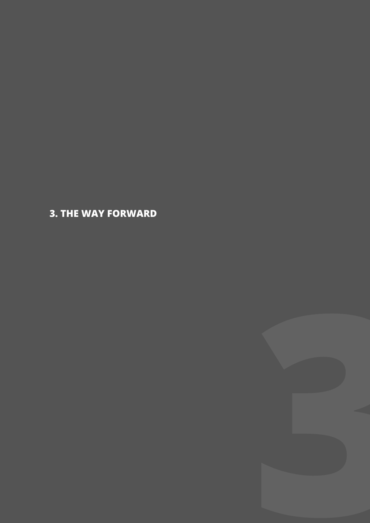**3. THE WAY FORWARD**

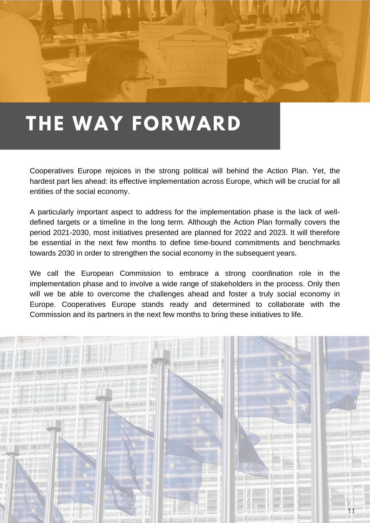

## **THE WAY FORWARD**

Cooperatives Europe rejoices in the strong political will behind the Action Plan. Yet, the hardest part lies ahead: its effective implementation across Europe, which will be crucial for all entities of the social economy.

A particularly important aspect to address for the implementation phase is the lack of welldefined targets or a timeline in the long term. Although the Action Plan formally covers the period 2021-2030, most initiatives presented are planned for 2022 and 2023. It will therefore be essential in the next few months to define time-bound commitments and benchmarks towards 2030 in order to strengthen the social economy in the subsequent years.

We call the European Commission to embrace a strong coordination role in the implementation phase and to involve a wide range of stakeholders in the process. Only then will we be able to overcome the challenges ahead and foster a truly social economy in Europe. Cooperatives Europe stands ready and determined to collaborate with the Commission and its partners in the next few months to bring these initiatives to life.

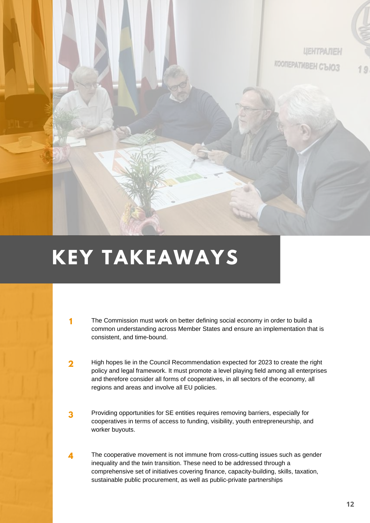

# **KEY TAKEAWAYS**

**1**

- The Commission must work on better defining social economy in order to build a common understanding across Member States and ensure an implementation that is consistent, and time-bound.
- High hopes lie in the Council Recommendation expected for 2023 to create the right policy and legal framework. It must promote a level playing field among all enterprises and therefore consider all forms of cooperatives, in all sectors of the economy, all regions and areas and involve all EU policies. **2**
- Providing opportunities for SE entities requires removing barriers, especially for cooperatives in terms of access to funding, visibility, youth entrepreneurship, and worker buyouts. **3**
- The cooperative movement is not immune from cross-cutting issues such as gender inequality and the twin transition. These need to be addressed through a comprehensive set of initiatives covering finance, capacity-building, skills, taxation, sustainable public procurement, as well as public-private partnerships **4**